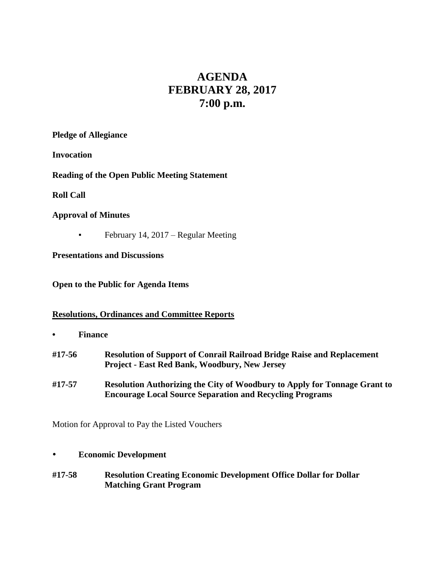# **AGENDA FEBRUARY 28, 2017 7:00 p.m.**

## **Pledge of Allegiance**

**Invocation**

**Reading of the Open Public Meeting Statement**

**Roll Call**

## **Approval of Minutes**

**•** February 14, 2017 – Regular Meeting

**Presentations and Discussions**

**Open to the Public for Agenda Items**

# **Resolutions, Ordinances and Committee Reports**

- **• Finance**
- **#17-56 Resolution of Support of Conrail Railroad Bridge Raise and Replacement Project - East Red Bank, Woodbury, New Jersey**
- **#17-57 Resolution Authorizing the City of Woodbury to Apply for Tonnage Grant to Encourage Local Source Separation and Recycling Programs**

Motion for Approval to Pay the Listed Vouchers

#### **Economic Development**

**#17-58 Resolution Creating Economic Development Office Dollar for Dollar Matching Grant Program**